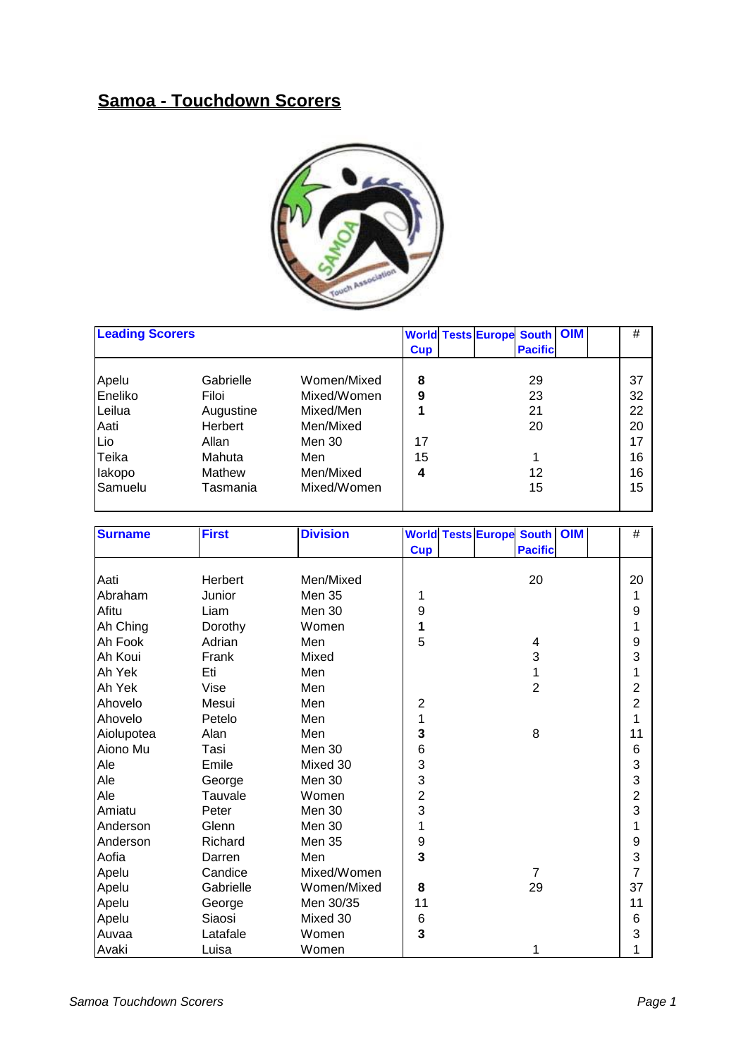## **Samoa - Touchdown Scorers**



| <b>Leading Scorers</b> |           |             |            |  | <b>World Tests Europe South OIM</b> |  | #  |
|------------------------|-----------|-------------|------------|--|-------------------------------------|--|----|
|                        |           |             | <b>Cup</b> |  | <b>Pacific</b>                      |  |    |
| Apelu                  | Gabrielle | Women/Mixed | 8          |  | 29                                  |  | 37 |
| Eneliko                | Filoi     | Mixed/Women | 9          |  | 23                                  |  | 32 |
| Leilua                 | Augustine | Mixed/Men   |            |  | 21                                  |  | 22 |
| Aati                   | Herbert   | Men/Mixed   |            |  | 20                                  |  | 20 |
| Lio                    | Allan     | Men 30      | 17         |  |                                     |  | 17 |
| Teika                  | Mahuta    | Men         | 15         |  |                                     |  | 16 |
| lakopo                 | Mathew    | Men/Mixed   | 4          |  | 12                                  |  | 16 |
| Samuelu                | Tasmania  | Mixed/Women |            |  | 15                                  |  | 15 |
|                        |           |             |            |  |                                     |  |    |

| <b>Surname</b> | <b>First</b> | <b>Division</b> |                | <b>World Tests Europe South OIM</b> | $\#$           |
|----------------|--------------|-----------------|----------------|-------------------------------------|----------------|
|                |              |                 | <b>Cup</b>     | <b>Pacific</b>                      |                |
|                |              |                 |                |                                     |                |
| Aati           | Herbert      | Men/Mixed       |                | 20                                  | 20             |
| Abraham        | Junior       | <b>Men 35</b>   | 1              |                                     | 1              |
| Afitu          | Liam         | Men 30          | 9              |                                     | 9              |
| Ah Ching       | Dorothy      | Women           | 1              |                                     | 1              |
| Ah Fook        | Adrian       | Men             | 5              | 4                                   | 9              |
| Ah Koui        | Frank        | Mixed           |                | 3                                   | 3              |
| Ah Yek         | Eti          | Men             |                | 1                                   | 1              |
| Ah Yek         | Vise         | Men             |                | $\overline{2}$                      | 2              |
| Ahovelo        | Mesui        | Men             | $\overline{2}$ |                                     | $\overline{2}$ |
| Ahovelo        | Petelo       | Men             | 1              |                                     | 1              |
| Aiolupotea     | Alan         | Men             | 3              | 8                                   | 11             |
| Aiono Mu       | Tasi         | Men 30          | $\,6$          |                                     | 6              |
| Ale            | Emile        | Mixed 30        | 3              |                                     | 3              |
| Ale            | George       | Men 30          | 3              |                                     | 3              |
| Ale            | Tauvale      | Women           | $\overline{c}$ |                                     | $\overline{2}$ |
| Amiatu         | Peter        | <b>Men 30</b>   | 3              |                                     | 3              |
| Anderson       | Glenn        | Men 30          | 1              |                                     | 1              |
| Anderson       | Richard      | <b>Men 35</b>   | 9              |                                     | 9              |
| Aofia          | Darren       | Men             | 3              |                                     | 3              |
| Apelu          | Candice      | Mixed/Women     |                | $\overline{7}$                      | $\overline{7}$ |
| Apelu          | Gabrielle    | Women/Mixed     | 8              | 29                                  | 37             |
| Apelu          | George       | Men 30/35       | 11             |                                     | 11             |
| Apelu          | Siaosi       | Mixed 30        | 6              |                                     | 6              |
| Auvaa          | Latafale     | Women           | 3              |                                     | 3              |
| Avaki          | Luisa        | Women           |                | 1                                   | 1              |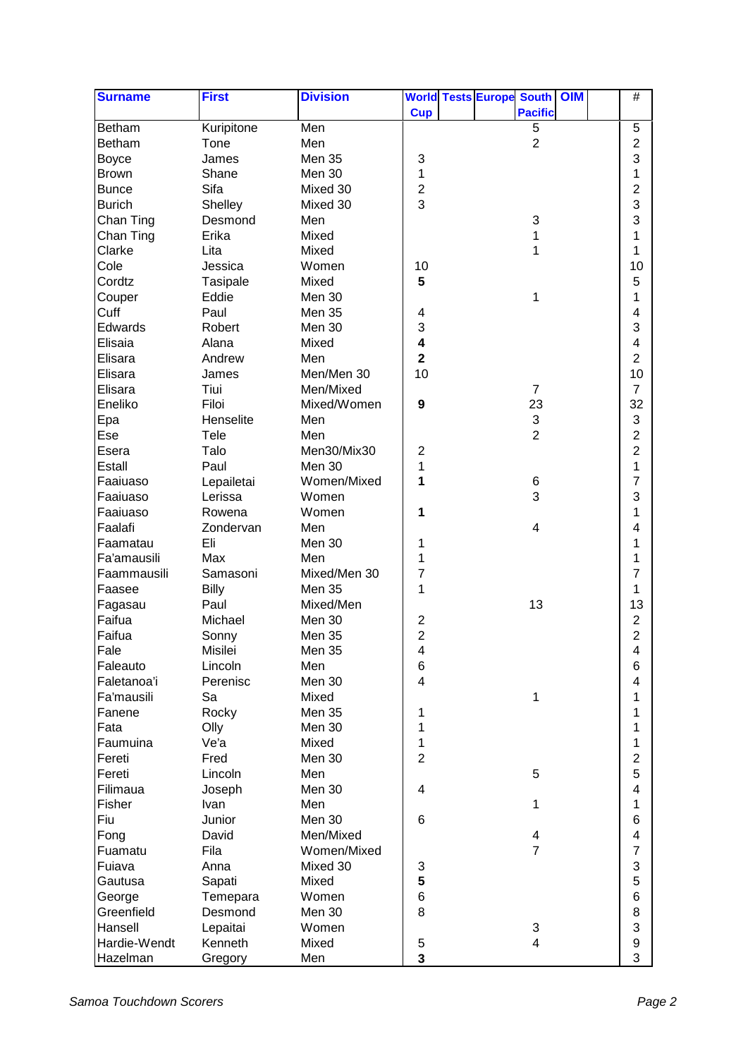| <b>Surname</b> | <b>First</b> | <b>Division</b> |                         |  | <b>World Tests Europe South OIM</b> |  | $\#$                     |  |
|----------------|--------------|-----------------|-------------------------|--|-------------------------------------|--|--------------------------|--|
|                |              |                 | <b>Cup</b>              |  | <b>Pacific</b>                      |  |                          |  |
| Betham         | Kuripitone   | Men             |                         |  | 5                                   |  | 5                        |  |
| Betham         | Tone         | Men             |                         |  | $\overline{2}$                      |  | $\overline{2}$           |  |
| <b>Boyce</b>   | James        | <b>Men 35</b>   | 3                       |  |                                     |  | 3                        |  |
| <b>Brown</b>   | Shane        | Men 30          | 1                       |  |                                     |  | 1                        |  |
| <b>Bunce</b>   | Sifa         | Mixed 30        | $\overline{\mathbf{c}}$ |  |                                     |  | $\overline{c}$           |  |
| <b>Burich</b>  | Shelley      | Mixed 30        | 3                       |  |                                     |  | 3                        |  |
| Chan Ting      | Desmond      | Men             |                         |  | 3                                   |  | 3                        |  |
| Chan Ting      | Erika        | Mixed           |                         |  | 1                                   |  | 1                        |  |
| Clarke         | Lita         | Mixed           |                         |  | 1                                   |  | 1                        |  |
| Cole           | Jessica      | Women           | 10                      |  |                                     |  | 10                       |  |
| Cordtz         | Tasipale     | Mixed           | 5                       |  |                                     |  | 5                        |  |
| Couper         | Eddie        | Men 30          |                         |  | 1                                   |  | 1                        |  |
| Cuff           | Paul         | Men 35          | 4                       |  |                                     |  | 4                        |  |
| Edwards        | Robert       | Men 30          | 3                       |  |                                     |  | 3                        |  |
| Elisaia        | Alana        | Mixed           | $\overline{\mathbf{4}}$ |  |                                     |  | 4                        |  |
| Elisara        | Andrew       | Men             | $\overline{\mathbf{2}}$ |  |                                     |  | $\overline{2}$           |  |
| Elisara        | James        | Men/Men 30      | 10                      |  |                                     |  | 10                       |  |
| Elisara        | Tiui         | Men/Mixed       |                         |  | $\overline{7}$                      |  | $\overline{7}$           |  |
| Eneliko        | Filoi        | Mixed/Women     | 9                       |  | 23                                  |  | 32                       |  |
|                | Henselite    | Men             |                         |  | $\ensuremath{\mathsf{3}}$           |  | 3                        |  |
| Epa            | Tele         | Men             |                         |  | $\overline{2}$                      |  | $\overline{c}$           |  |
| Ese            | Talo         | Men30/Mix30     | $\overline{2}$          |  |                                     |  | $\overline{2}$           |  |
| Esera          |              |                 |                         |  |                                     |  | $\mathbf 1$              |  |
| Estall         | Paul         | Men 30          | 1                       |  |                                     |  |                          |  |
| Faaiuaso       | Lepailetai   | Women/Mixed     | 1                       |  | 6<br>3                              |  | $\overline{7}$           |  |
| Faaiuaso       | Lerissa      | Women           |                         |  |                                     |  | 3                        |  |
| Faaiuaso       | Rowena       | Women           | 1                       |  |                                     |  | 1                        |  |
| Faalafi        | Zondervan    | Men             |                         |  | 4                                   |  | 4                        |  |
| Faamatau       | Eli          | Men 30          | 1                       |  |                                     |  | 1                        |  |
| Fa'amausili    | Max          | Men             | 1                       |  |                                     |  | 1                        |  |
| Faammausili    | Samasoni     | Mixed/Men 30    | 7                       |  |                                     |  | $\overline{7}$           |  |
| Faasee         | <b>Billy</b> | Men 35          | 1                       |  |                                     |  | 1                        |  |
| Fagasau        | Paul         | Mixed/Men       |                         |  | 13                                  |  | 13                       |  |
| Faifua         | Michael      | Men 30          | $\overline{\mathbf{c}}$ |  |                                     |  | $\overline{\mathbf{c}}$  |  |
| Faifua         | Sonny        | Men 35          | $\overline{2}$          |  |                                     |  | $\overline{c}$           |  |
| Fale           | Misilei      | Men 35          | 4                       |  |                                     |  | $\overline{\mathcal{A}}$ |  |
| Faleauto       | Lincoln      | Men             | 6                       |  |                                     |  | 6                        |  |
| Faletanoa'i    | Perenisc     | Men 30          | $\overline{\mathbf{4}}$ |  |                                     |  | 4                        |  |
| Fa'mausili     | Sa           | Mixed           |                         |  | 1                                   |  | 1                        |  |
| Fanene         | Rocky        | <b>Men 35</b>   | 1                       |  |                                     |  | 1                        |  |
| Fata           | Olly         | Men 30          | 1                       |  |                                     |  | 1                        |  |
| Faumuina       | Ve'a         | Mixed           | 1                       |  |                                     |  | 1                        |  |
| Fereti         | Fred         | Men 30          | $\overline{2}$          |  |                                     |  | $\overline{2}$           |  |
| Fereti         | Lincoln      | Men             |                         |  | 5                                   |  | 5                        |  |
| Filimaua       | Joseph       | Men 30          | 4                       |  |                                     |  | 4                        |  |
| Fisher         | Ivan         | Men             |                         |  | 1                                   |  | 1                        |  |
| Fiu            | Junior       | Men 30          | 6                       |  |                                     |  | 6                        |  |
| Fong           | David        | Men/Mixed       |                         |  | 4                                   |  | 4                        |  |
| Fuamatu        | Fila         | Women/Mixed     |                         |  | $\overline{7}$                      |  | $\overline{7}$           |  |
| Fuiava         | Anna         | Mixed 30        | 3                       |  |                                     |  | 3                        |  |
| Gautusa        | Sapati       | Mixed           | 5                       |  |                                     |  | 5                        |  |
| George         | Temepara     | Women           | 6                       |  |                                     |  | 6                        |  |
| Greenfield     | Desmond      | Men 30          | 8                       |  |                                     |  | 8                        |  |
| Hansell        | Lepaitai     | Women           |                         |  | 3                                   |  | 3                        |  |
| Hardie-Wendt   | Kenneth      | Mixed           | 5                       |  | 4                                   |  | 9                        |  |
| Hazelman       | Gregory      | Men             | $\overline{\mathbf{3}}$ |  |                                     |  | 3                        |  |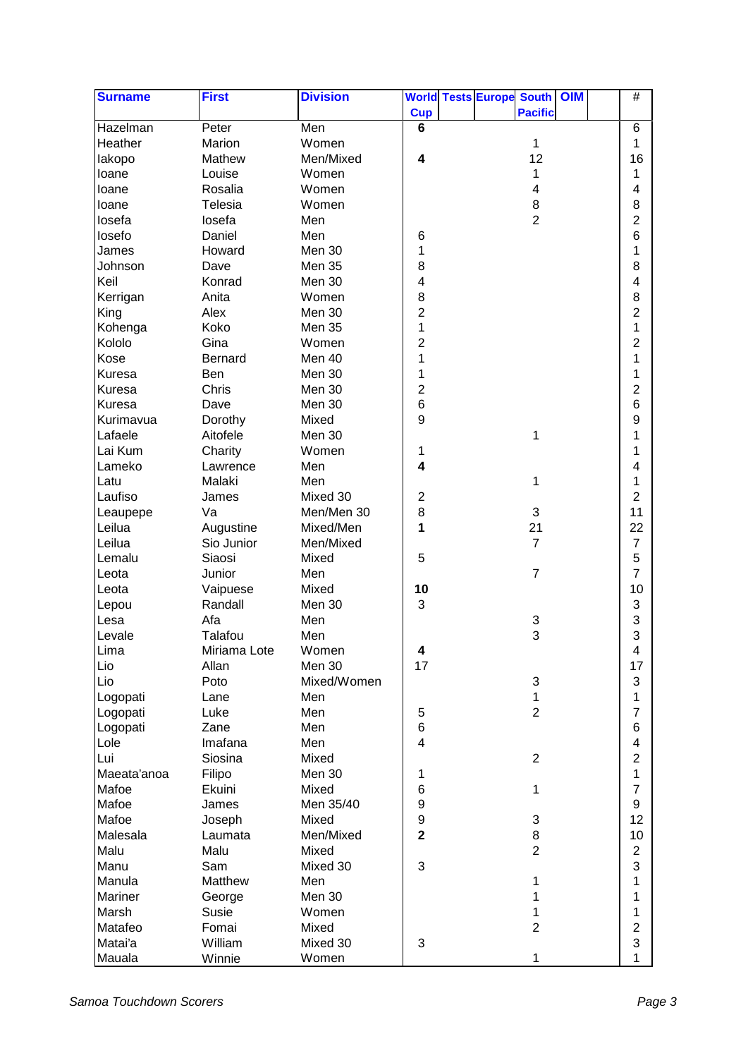| <b>Surname</b> | <b>First</b>   | <b>Division</b> |                         |  | <b>World Tests Europe South OIM</b> |  | $\#$             |  |
|----------------|----------------|-----------------|-------------------------|--|-------------------------------------|--|------------------|--|
|                |                |                 | <b>Cup</b>              |  | <b>Pacific</b>                      |  |                  |  |
| Hazelman       | Peter          | Men             | 6                       |  |                                     |  | 6                |  |
| Heather        | Marion         | Women           |                         |  | 1                                   |  | 1                |  |
| lakopo         | Mathew         | Men/Mixed       | 4                       |  | 12                                  |  | 16               |  |
| loane          | Louise         | Women           |                         |  | 1                                   |  | 1                |  |
| loane          | Rosalia        | Women           |                         |  | 4                                   |  | 4                |  |
| loane          | Telesia        | Women           |                         |  | $\bf 8$                             |  | 8                |  |
| losefa         | losefa         | Men             |                         |  | $\overline{2}$                      |  | $\overline{2}$   |  |
| losefo         | Daniel         | Men             | 6                       |  |                                     |  | 6                |  |
| James          | Howard         | Men 30          | 1                       |  |                                     |  | 1                |  |
| Johnson        | Dave           | Men 35          | 8                       |  |                                     |  | 8                |  |
| Keil           | Konrad         | Men 30          | 4                       |  |                                     |  | 4                |  |
| Kerrigan       | Anita          | Women           | 8                       |  |                                     |  | 8                |  |
| King           | Alex           | Men 30          | $\overline{c}$          |  |                                     |  | $\overline{c}$   |  |
| Kohenga        | Koko           | Men 35          | 1                       |  |                                     |  | 1                |  |
|                |                |                 |                         |  |                                     |  |                  |  |
| Kololo         | Gina           | Women           | 2                       |  |                                     |  | $\overline{c}$   |  |
| Kose           | <b>Bernard</b> | Men 40          | 1                       |  |                                     |  | 1                |  |
| Kuresa         | Ben            | Men 30          | 1                       |  |                                     |  | 1                |  |
| <b>Kuresa</b>  | Chris          | Men 30          | $\overline{c}$          |  |                                     |  | $\overline{c}$   |  |
| <b>Kuresa</b>  | Dave           | Men 30          | 6                       |  |                                     |  | 6                |  |
| Kurimavua      | Dorothy        | Mixed           | 9                       |  |                                     |  | 9                |  |
| Lafaele        | Aitofele       | Men 30          |                         |  | 1                                   |  | 1                |  |
| Lai Kum        | Charity        | Women           | 1                       |  |                                     |  | 1                |  |
| Lameko         | Lawrence       | Men             | 4                       |  |                                     |  | 4                |  |
| Latu           | Malaki         | Men             |                         |  | 1                                   |  | 1                |  |
| Laufiso        | James          | Mixed 30        | 2                       |  |                                     |  | $\overline{2}$   |  |
| Leaupepe       | Va             | Men/Men 30      | $\bf 8$                 |  | $\sqrt{3}$                          |  | 11               |  |
| Leilua         | Augustine      | Mixed/Men       | 1                       |  | 21                                  |  | 22               |  |
| Leilua         | Sio Junior     | Men/Mixed       |                         |  | $\overline{7}$                      |  | $\overline{7}$   |  |
| Lemalu         | Siaosi         | Mixed           | 5                       |  |                                     |  | 5                |  |
| Leota          | Junior         | Men             |                         |  | $\overline{7}$                      |  | 7                |  |
| Leota          | Vaipuese       | Mixed           | 10                      |  |                                     |  | 10               |  |
| Lepou          | Randall        | Men 30          | 3                       |  |                                     |  | 3                |  |
| Lesa           | Afa            | Men             |                         |  | 3                                   |  | 3                |  |
| Levale         | Talafou        | Men             |                         |  | 3                                   |  | 3                |  |
| Lima           | Miriama Lote   | Women           |                         |  |                                     |  | 4                |  |
| Lio            | Allan          | Men 30          | 17                      |  |                                     |  | 17               |  |
| Lio            | Poto           | Mixed/Women     |                         |  | 3                                   |  | 3                |  |
| Logopati       | Lane           | Men             |                         |  | 1                                   |  | 1                |  |
| Logopati       | Luke           | Men             | 5                       |  | $\overline{2}$                      |  | $\overline{7}$   |  |
| Logopati       | Zane           | Men             | 6                       |  |                                     |  | 6                |  |
| Lole           | Imafana        | Men             | $\overline{\mathbf{4}}$ |  |                                     |  | 4                |  |
| Lui            | Siosina        | Mixed           |                         |  | $\overline{2}$                      |  | $\overline{2}$   |  |
| Maeata'anoa    | Filipo         | Men 30          | 1                       |  |                                     |  | 1                |  |
| Mafoe          | Ekuini         | Mixed           | 6                       |  | 1                                   |  | $\overline{7}$   |  |
| Mafoe          | James          | Men 35/40       | 9                       |  |                                     |  | $\boldsymbol{9}$ |  |
| Mafoe          | Joseph         | Mixed           | 9                       |  | 3                                   |  | 12               |  |
| Malesala       | Laumata        | Men/Mixed       | $\overline{\mathbf{2}}$ |  | $\,8\,$                             |  | 10               |  |
| Malu           | Malu           | Mixed           |                         |  | $\overline{2}$                      |  | $\overline{2}$   |  |
| Manu           | Sam            | Mixed 30        | 3                       |  |                                     |  | 3                |  |
| Manula         | Matthew        | Men             |                         |  | 1                                   |  | 1                |  |
| Mariner        | George         | Men 30          |                         |  | 1                                   |  | 1                |  |
| Marsh          | Susie          | Women           |                         |  | 1                                   |  | 1                |  |
| Matafeo        | Fomai          | Mixed           |                         |  | $\overline{2}$                      |  | $\overline{2}$   |  |
| Matai'a        | William        | Mixed 30        | 3                       |  |                                     |  | 3                |  |
|                |                |                 |                         |  |                                     |  | 1                |  |
| Mauala         | Winnie         | Women           |                         |  | 1                                   |  |                  |  |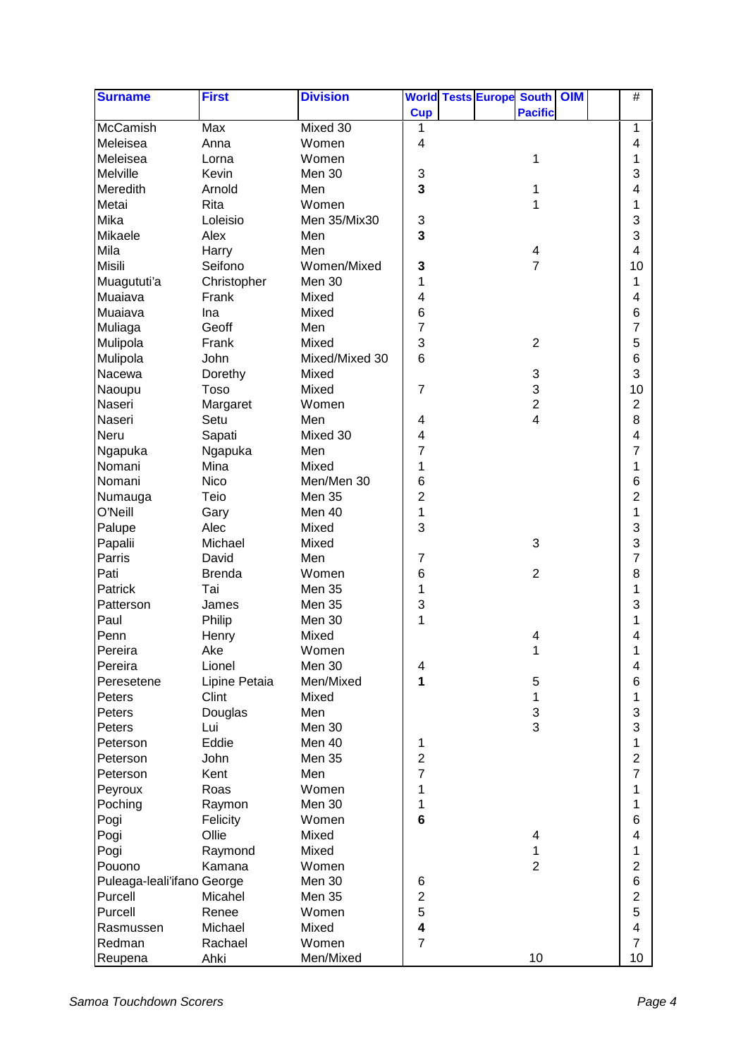| <b>Surname</b>             | <b>First</b>  | <b>Division</b> |                         |  | <b>World Tests Europe South OIM</b> |  | $\#$           |  |
|----------------------------|---------------|-----------------|-------------------------|--|-------------------------------------|--|----------------|--|
|                            |               |                 | <b>Cup</b>              |  | <b>Pacific</b>                      |  |                |  |
| <b>McCamish</b>            | Max           | Mixed 30        | 1                       |  |                                     |  | 1              |  |
| Meleisea                   | Anna          | Women           | 4                       |  |                                     |  | 4              |  |
| Meleisea                   | Lorna         | Women           |                         |  | 1                                   |  | 1              |  |
| Melville                   | Kevin         | Men 30          | 3                       |  |                                     |  | 3              |  |
| Meredith                   | Arnold        | Men             | 3                       |  | 1                                   |  | 4              |  |
| Metai                      | Rita          | Women           |                         |  | 1                                   |  | 1              |  |
| Mika                       | Loleisio      | Men 35/Mix30    | 3                       |  |                                     |  | 3              |  |
| Mikaele                    | Alex          | Men             | 3                       |  |                                     |  | 3              |  |
| Mila                       | Harry         | Men             |                         |  | 4                                   |  | 4              |  |
| <b>Misili</b>              | Seifono       | Women/Mixed     | 3                       |  | $\overline{7}$                      |  | 10             |  |
| Muagututi'a                | Christopher   | Men 30          | 1                       |  |                                     |  | 1              |  |
| Muaiava                    | Frank         | Mixed           | 4                       |  |                                     |  | 4              |  |
| Muaiava                    | Ina           | Mixed           | 6                       |  |                                     |  | 6              |  |
| Muliaga                    | Geoff         | Men             | 7                       |  |                                     |  | 7              |  |
| Mulipola                   | Frank         | Mixed           | 3                       |  | $\overline{2}$                      |  | 5              |  |
| Mulipola                   | John          | Mixed/Mixed 30  | 6                       |  |                                     |  | 6              |  |
| Nacewa                     | Dorethy       | Mixed           |                         |  | 3                                   |  | 3              |  |
| Naoupu                     | Toso          | Mixed           | $\overline{7}$          |  | 3                                   |  | 10             |  |
| Naseri                     | Margaret      | Women           |                         |  | $\overline{2}$                      |  | $\overline{2}$ |  |
| Naseri                     | Setu          | Men             | 4                       |  | 4                                   |  | 8              |  |
| Neru                       | Sapati        | Mixed 30        | $\overline{\mathbf{4}}$ |  |                                     |  | 4              |  |
| Ngapuka                    | Ngapuka       | Men             | 7                       |  |                                     |  | 7              |  |
| Nomani                     | Mina          | Mixed           | 1                       |  |                                     |  | 1              |  |
| Nomani                     | <b>Nico</b>   | Men/Men 30      | 6                       |  |                                     |  | 6              |  |
| Numauga                    | Teio          | Men 35          | $\overline{c}$          |  |                                     |  | $\overline{c}$ |  |
| O'Neill                    | Gary          | Men 40          | 1                       |  |                                     |  | 1              |  |
| Palupe                     | Alec          | Mixed           | 3                       |  |                                     |  | 3              |  |
| Papalii                    | Michael       | Mixed           |                         |  | 3                                   |  | 3              |  |
| Parris                     | David         | Men             | 7                       |  |                                     |  | 7              |  |
| Pati                       | <b>Brenda</b> | Women           | 6                       |  | $\overline{2}$                      |  | 8              |  |
| Patrick                    | Tai           | Men 35          | 1                       |  |                                     |  | 1              |  |
| Patterson                  | James         | Men 35          | 3                       |  |                                     |  | 3              |  |
| Paul                       | Philip        | Men 30          | 1                       |  |                                     |  | 1              |  |
| Penn                       | Henry         | Mixed           |                         |  | 4                                   |  | 4              |  |
| Pereira                    | Ake           | Women           |                         |  | 1                                   |  | 1              |  |
| Pereira                    | Lionel        | Men 30          | 4                       |  |                                     |  | 4              |  |
| Peresetene                 | Lipine Petaia | Men/Mixed       | 1                       |  | 5                                   |  | 6              |  |
| Peters                     | Clint         | Mixed           |                         |  | 1                                   |  | 1              |  |
| Peters                     | Douglas       | Men             |                         |  | $\ensuremath{\mathsf{3}}$           |  | 3              |  |
| Peters                     | Lui           | Men 30          |                         |  | 3                                   |  | 3              |  |
| Peterson                   | Eddie         | Men 40          | 1                       |  |                                     |  | 1              |  |
| Peterson                   | John          | Men 35          | $\overline{c}$          |  |                                     |  | $\overline{c}$ |  |
| Peterson                   | Kent          | Men             | 7                       |  |                                     |  | $\overline{7}$ |  |
| Peyroux                    | Roas          | Women           | 1                       |  |                                     |  | 1              |  |
| Poching                    | Raymon        | Men 30          | 1                       |  |                                     |  | 1              |  |
| Pogi                       | Felicity      | Women           | $6\phantom{1}$          |  |                                     |  | 6              |  |
| Pogi                       | Ollie         | Mixed           |                         |  | 4                                   |  | 4              |  |
| Pogi                       | Raymond       | Mixed           |                         |  | 1                                   |  | 1              |  |
| Pouono                     | Kamana        | Women           |                         |  | $\overline{2}$                      |  | $\overline{c}$ |  |
| Puleaga-leali'ifano George |               | Men 30          | 6                       |  |                                     |  | 6              |  |
| Purcell                    | Micahel       | Men 35          | $\overline{c}$          |  |                                     |  | $\overline{c}$ |  |
| Purcell                    | Renee         | Women           | 5                       |  |                                     |  | 5              |  |
| Rasmussen                  | Michael       | Mixed           | 4                       |  |                                     |  | 4              |  |
| Redman                     | Rachael       | Women           | $\overline{7}$          |  |                                     |  | $\overline{7}$ |  |
| Reupena                    | Ahki          | Men/Mixed       |                         |  | 10                                  |  | 10             |  |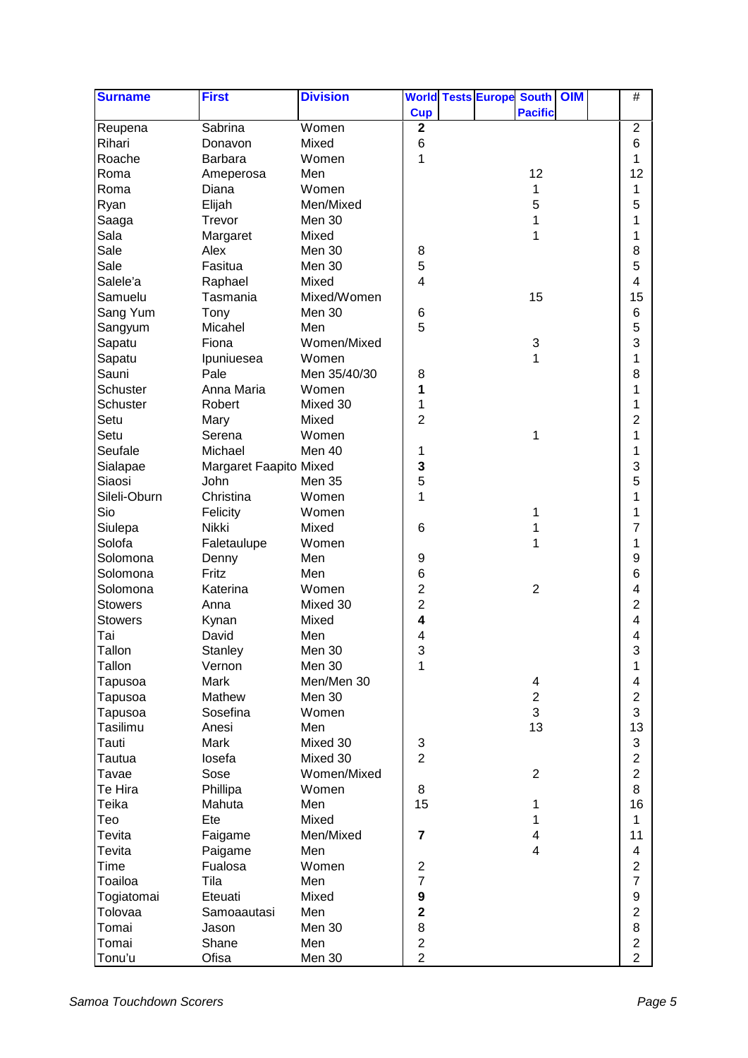| <b>Surname</b> | <b>First</b>           | <b>Division</b> |                 | <b>World Tests Europe South OIM</b> |                         |  | $\#$                    |
|----------------|------------------------|-----------------|-----------------|-------------------------------------|-------------------------|--|-------------------------|
|                |                        |                 | <b>Cup</b>      |                                     | <b>Pacific</b>          |  |                         |
| Reupena        | Sabrina                | Women           | $\mathbf{2}$    |                                     |                         |  | $\overline{2}$          |
| Rihari         | Donavon                | Mixed           | $6\phantom{1}6$ |                                     |                         |  | 6                       |
| Roache         | Barbara                | Women           | 1               |                                     |                         |  | 1                       |
| Roma           | Ameperosa              | Men             |                 |                                     | 12                      |  | 12                      |
| Roma           | Diana                  | Women           |                 |                                     | 1                       |  | 1                       |
| Ryan           | Elijah                 | Men/Mixed       |                 |                                     | 5                       |  | 5                       |
| Saaga          | Trevor                 | Men 30          |                 |                                     | 1                       |  | 1                       |
| Sala           | Margaret               | Mixed           |                 |                                     | 1                       |  | 1                       |
| Sale           | Alex                   | Men 30          | 8               |                                     |                         |  | 8                       |
| Sale           | Fasitua                | Men 30          | 5               |                                     |                         |  | 5                       |
| Salele'a       | Raphael                | Mixed           | 4               |                                     |                         |  | 4                       |
| Samuelu        | Tasmania               | Mixed/Women     |                 |                                     | 15                      |  | 15                      |
| Sang Yum       | Tony                   | Men 30          | 6               |                                     |                         |  | 6                       |
| Sangyum        | Micahel                | Men             | 5               |                                     |                         |  | 5                       |
|                | Fiona                  | Women/Mixed     |                 |                                     |                         |  | 3                       |
| Sapatu         |                        | Women           |                 |                                     | 3<br>1                  |  | 1                       |
| Sapatu         | Ipuniuesea             |                 |                 |                                     |                         |  |                         |
| Sauni          | Pale                   | Men 35/40/30    | 8               |                                     |                         |  | 8                       |
| Schuster       | Anna Maria             | Women           | 1               |                                     |                         |  | 1                       |
| Schuster       | Robert                 | Mixed 30        | 1               |                                     |                         |  | 1                       |
| Setu           | Mary                   | Mixed           | 2               |                                     |                         |  | 2                       |
| Setu           | Serena                 | Women           |                 |                                     | 1                       |  | 1                       |
| Seufale        | Michael                | Men 40          | 1               |                                     |                         |  | 1                       |
| Sialapae       | Margaret Faapito Mixed |                 | 3               |                                     |                         |  | 3                       |
| Siaosi         | John                   | Men 35          | 5               |                                     |                         |  | 5                       |
| Sileli-Oburn   | Christina              | Women           | 1               |                                     |                         |  | 1                       |
| Sio            | Felicity               | Women           |                 |                                     | 1                       |  | 1                       |
| Siulepa        | Nikki                  | Mixed           | 6               |                                     | 1                       |  | 7                       |
| Solofa         | Faletaulupe            | Women           |                 |                                     | 1                       |  | 1                       |
| Solomona       | Denny                  | Men             | 9               |                                     |                         |  | 9                       |
| Solomona       | Fritz                  | Men             | 6               |                                     |                         |  | 6                       |
| Solomona       | Katerina               | Women           | 2               |                                     | $\overline{2}$          |  | 4                       |
| <b>Stowers</b> | Anna                   | Mixed 30        | $\overline{c}$  |                                     |                         |  | 2                       |
| <b>Stowers</b> | Kynan                  | Mixed           | 4               |                                     |                         |  | 4                       |
| Tai            | David                  | Men             | 4               |                                     |                         |  | 4                       |
| Tallon         | Stanley                | Men 30          | 3               |                                     |                         |  | Q.<br>پ                 |
| Tallon         | Vernon                 | Men 30          | 1               |                                     |                         |  | 1                       |
| Tapusoa        | Mark                   | Men/Men 30      |                 |                                     | 4                       |  | 4                       |
| Tapusoa        | Mathew                 | Men 30          |                 |                                     | $\overline{\mathbf{c}}$ |  | $\overline{c}$          |
| Tapusoa        | Sosefina               | Women           |                 |                                     | 3                       |  | 3                       |
| Tasilimu       | Anesi                  | Men             |                 |                                     | 13                      |  | 13                      |
| Tauti          | Mark                   | Mixed 30        | 3               |                                     |                         |  | 3                       |
| Tautua         | losefa                 | Mixed 30        | $\overline{2}$  |                                     |                         |  | $\overline{2}$          |
| Tavae          | Sose                   | Women/Mixed     |                 |                                     | $\overline{2}$          |  | $\overline{2}$          |
| Te Hira        | Phillipa               | Women           | 8               |                                     |                         |  | 8                       |
| Teika          | Mahuta                 | Men             | 15              |                                     | 1                       |  | 16                      |
| Teo            | Ete                    | Mixed           |                 |                                     | 1                       |  | 1                       |
| Tevita         | Faigame                | Men/Mixed       | $\overline{7}$  |                                     | 4                       |  | 11                      |
| Tevita         | Paigame                | Men             |                 |                                     | $\overline{4}$          |  | $\overline{\mathbf{4}}$ |
| Time           | Fualosa                | Women           | $\mathbf 2$     |                                     |                         |  | $\overline{c}$          |
|                |                        |                 | $\overline{7}$  |                                     |                         |  | $\overline{7}$          |
| Toailoa        | Tila                   | Men             |                 |                                     |                         |  |                         |
| Togiatomai     | Eteuati                | Mixed           | 9               |                                     |                         |  | 9                       |
| Tolovaa        | Samoaautasi            | Men             | $\mathbf 2$     |                                     |                         |  | $\overline{2}$          |
| Tomai          | Jason                  | Men 30          | 8               |                                     |                         |  | 8                       |
| Tomai          | Shane                  | Men             | $\overline{2}$  |                                     |                         |  | $\overline{c}$          |
| Tonu'u         | Ofisa                  | Men 30          | $\overline{2}$  |                                     |                         |  | $\overline{2}$          |